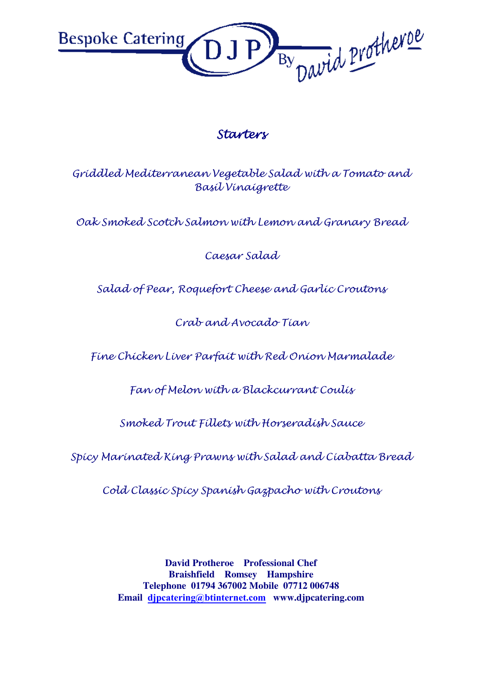

## Starters

Griddled Mediterranean Vegetable Salad with a Tomato and Basil Vinaigrette

Oak Smoked Scotch Salmon with Lemon and Granary Bread

Caesar Salad

Salad of Pear, Roquefort Cheese and Garlic Croutons

Crab and Avocado Tian

Fine Chicken Liver Parfait with Red Onion Marmalade

Fan of Melon with a Blackcurrant Coulis

Smoked Trout Fillets with Horseradish Sauce

Spicy Marinated King Prawns with Salad and Ciabatta Bread

Cold Classic Spicy Spanish Gazpacho with Croutons

**David Protheroe Professional Chef Braishfield Romsey Hampshire Telephone 01794 367002 Mobile 07712 006748 Email djpcatering@btinternet.com www.djpcatering.com**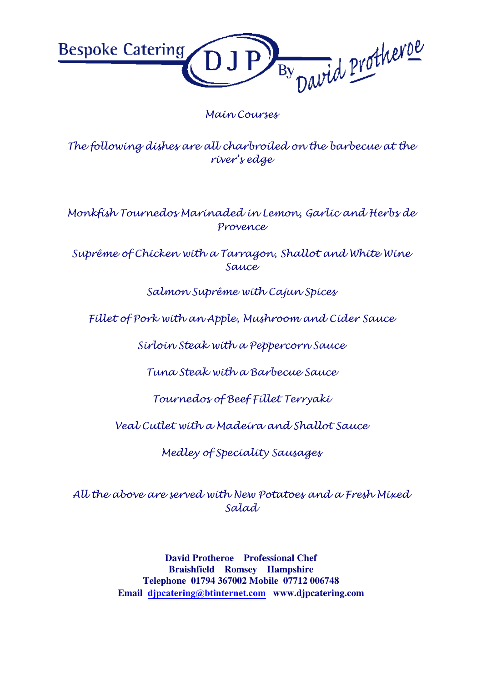By David Protherve **Bespoke Catering** 

## Main Courses

The following dishes are all charbroiled on the barbecue at the river's edge

Monkfish Tournedos Marinaded in Lemon, Garlic and Herbs de Provence

Suprême of Chicken with a Tarragon, Shallot and White Wine Sauce

Salmon Suprême with Cajun Spices

Fillet of Pork with an Apple, Mushroom and Cider Sauce

Sirloin Steak with a Peppercorn Sauce

Tuna Steak with a Barbecue Sauce

Tournedos of Beef Fillet Terryaki

Veal Cutlet with a Madeira and Shallot Sauce

Medley of Speciality Sausages

All the above are served with New Potatoes and a Fresh Mixed Salad

> **David Protheroe Professional Chef Braishfield Romsey Hampshire Telephone 01794 367002 Mobile 07712 006748 Email djpcatering@btinternet.com www.djpcatering.com**